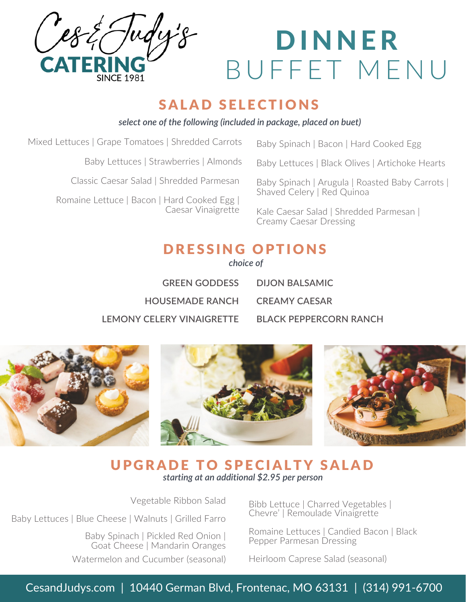

# DINNER B U F F E T MENU

### SALAD SELECTIONS

*select one of the following (included in package, placed on buet)*

| Mixed Lettuces   Grape Tomatoes   Shredded Carrots                                                            | Baby Spinach   Bacon   Hard Cooked Egg                                        |
|---------------------------------------------------------------------------------------------------------------|-------------------------------------------------------------------------------|
| Baby Lettuces   Strawberries   Almonds                                                                        | Baby Lettuces   Black Olives   Artichoke Hearts                               |
| Classic Caesar Salad   Shredded Parmesan<br>Romaine Lettuce   Bacon   Hard Cooked Egg  <br>Caesar Vinaigrette | Baby Spinach   Arugula   Roasted Baby Carrots  <br>Shaved Celery   Red Quinoa |
|                                                                                                               | Kale Caesar Salad   Shredded Parmesan  <br><b>Creamy Caesar Dressing</b>      |
|                                                                                                               |                                                                               |

### DRESSING OPTIONS

*choice of*

| <b>GREEN GODDESS</b>          | DUON BAI SAMIC         |
|-------------------------------|------------------------|
| HOUSEMADE RANCH CREAMY CAESAR |                        |
| I FMONY CFI FRY VINAIGRETTE   | BLACK PEPPERCORN RANCH |



### **UPGRADE TO SPECIALTY SALAD** *starting at an additional \$2.95 per person*

Vegetable Ribbon Salad

Baby Lettuces | Blue Cheese | Walnuts | Grilled Farro

Baby Spinach | Pickled Red Onion | Goat Cheese | Mandarin Oranges Watermelon and Cucumber (seasonal)

Bibb Lettuce | Charred Vegetables | Chevre' | Remoulade Vinaigrette

Romaine Lettuces | Candied Bacon | Black Pepper Parmesan Dressing

Heirloom Caprese Salad (seasonal)

CesandJudys.com | 10440 German Blvd, Frontenac, MO 63131 | (314) 991-6700